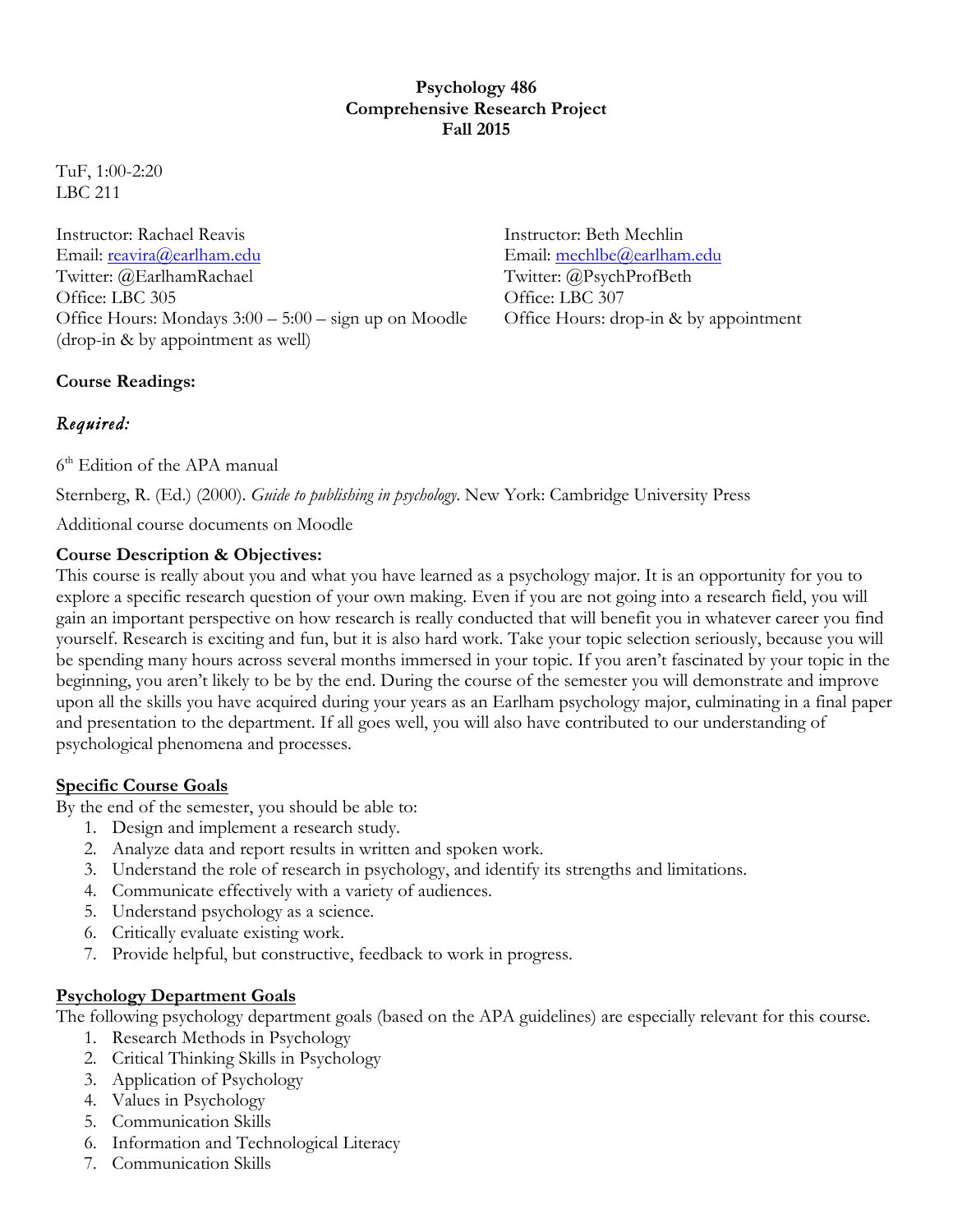#### **Psychology 486 Comprehensive Research Project Fall 2015**

TuF, 1:00-2:20 LBC 211

Instructor: Rachael Reavis Instructor: Beth Mechlin Email: reavira@earlham.edu Email: mechlbe@earlham.edu Twitter: @EarlhamRachael Twitter: @PsychProfBeth Office: LBC 305 Office: LBC 307 Office Hours: Mondays 3:00 – 5:00 – sign up on Moodle Office Hours: drop-in & by appointment (drop-in & by appointment as well)

**Course Readings:**

# *Required:*

 $6<sup>th</sup>$  Edition of the APA manual

Sternberg, R. (Ed.) (2000). *Guide to publishing in psychology*. New York: Cambridge University Press

Additional course documents on Moodle

#### **Course Description & Objectives:**

This course is really about you and what you have learned as a psychology major. It is an opportunity for you to explore a specific research question of your own making. Even if you are not going into a research field, you will gain an important perspective on how research is really conducted that will benefit you in whatever career you find yourself. Research is exciting and fun, but it is also hard work. Take your topic selection seriously, because you will be spending many hours across several months immersed in your topic. If you aren't fascinated by your topic in the beginning, you aren't likely to be by the end. During the course of the semester you will demonstrate and improve upon all the skills you have acquired during your years as an Earlham psychology major, culminating in a final paper and presentation to the department. If all goes well, you will also have contributed to our understanding of psychological phenomena and processes.

#### **Specific Course Goals**

By the end of the semester, you should be able to:

- 1. Design and implement a research study.
- 2. Analyze data and report results in written and spoken work.
- 3. Understand the role of research in psychology, and identify its strengths and limitations.
- 4. Communicate effectively with a variety of audiences.
- 5. Understand psychology as a science.
- 6. Critically evaluate existing work.
- 7. Provide helpful, but constructive, feedback to work in progress.

## **Psychology Department Goals**

The following psychology department goals (based on the APA guidelines) are especially relevant for this course.

- 1. Research Methods in Psychology
- 2. Critical Thinking Skills in Psychology
- 3. Application of Psychology
- 4. Values in Psychology
- 5. Communication Skills
- 6. Information and Technological Literacy
- 7. Communication Skills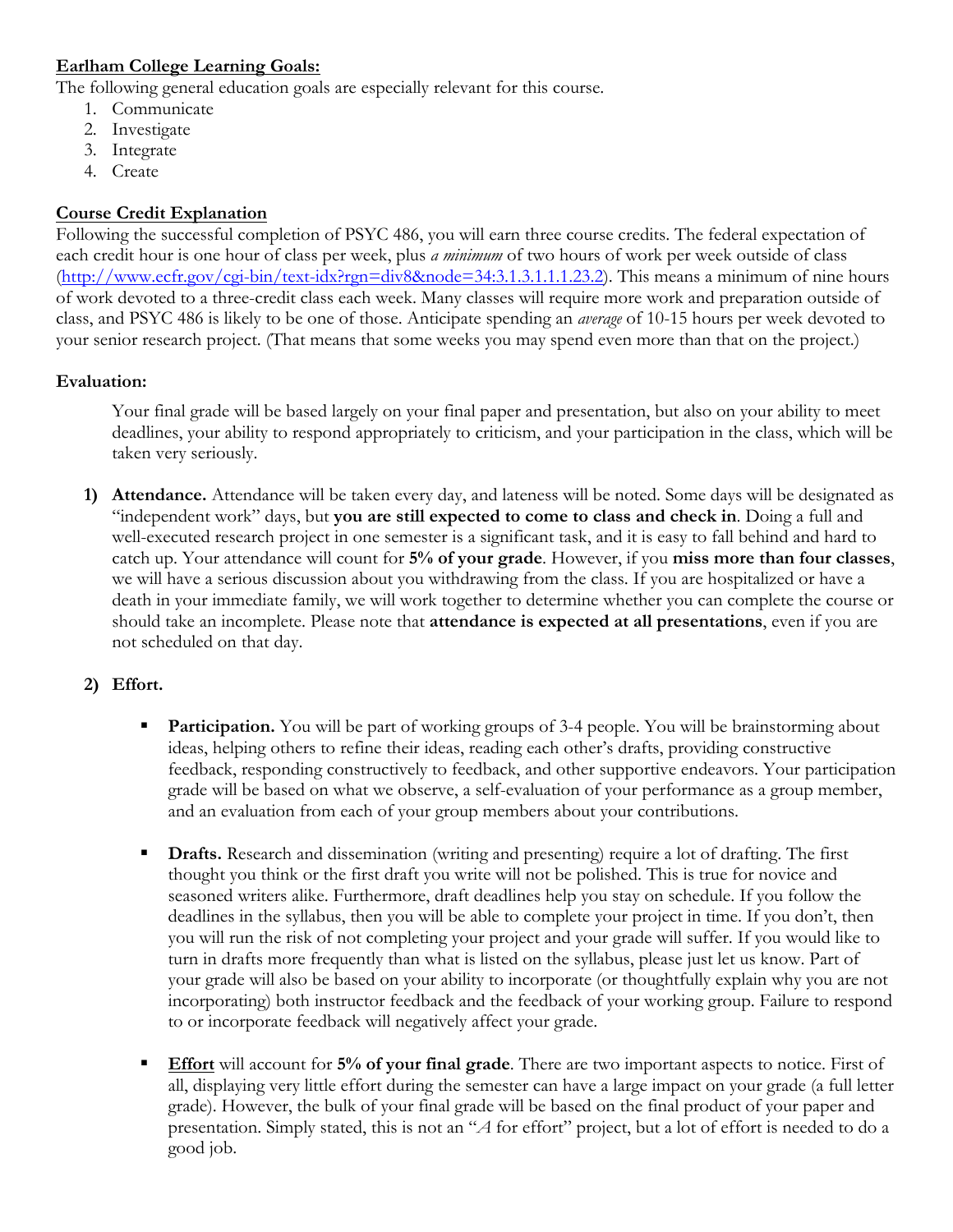## **Earlham College Learning Goals:**

The following general education goals are especially relevant for this course.

- 1. Communicate
- 2. Investigate
- 3. Integrate
- 4. Create

# **Course Credit Explanation**

Following the successful completion of PSYC 486, you will earn three course credits. The federal expectation of each credit hour is one hour of class per week, plus *a minimum* of two hours of work per week outside of class (http://www.ecfr.gov/cgi-bin/text-idx?rgn=div8&node=34:3.1.3.1.1.1.23.2). This means a minimum of nine hours of work devoted to a three-credit class each week. Many classes will require more work and preparation outside of class, and PSYC 486 is likely to be one of those. Anticipate spending an *average* of 10-15 hours per week devoted to your senior research project. (That means that some weeks you may spend even more than that on the project.)

## **Evaluation:**

Your final grade will be based largely on your final paper and presentation, but also on your ability to meet deadlines, your ability to respond appropriately to criticism, and your participation in the class, which will be taken very seriously.

**1) Attendance.** Attendance will be taken every day, and lateness will be noted. Some days will be designated as "independent work" days, but **you are still expected to come to class and check in**. Doing a full and well-executed research project in one semester is a significant task, and it is easy to fall behind and hard to catch up. Your attendance will count for **5% of your grade**. However, if you **miss more than four classes**, we will have a serious discussion about you withdrawing from the class. If you are hospitalized or have a death in your immediate family, we will work together to determine whether you can complete the course or should take an incomplete. Please note that **attendance is expected at all presentations**, even if you are not scheduled on that day.

# **2) Effort.**

- **Participation.** You will be part of working groups of 3-4 people. You will be brainstorming about ideas, helping others to refine their ideas, reading each other's drafts, providing constructive feedback, responding constructively to feedback, and other supportive endeavors. Your participation grade will be based on what we observe, a self-evaluation of your performance as a group member, and an evaluation from each of your group members about your contributions.
- **Drafts.** Research and dissemination (writing and presenting) require a lot of drafting. The first thought you think or the first draft you write will not be polished. This is true for novice and seasoned writers alike. Furthermore, draft deadlines help you stay on schedule. If you follow the deadlines in the syllabus, then you will be able to complete your project in time. If you don't, then you will run the risk of not completing your project and your grade will suffer. If you would like to turn in drafts more frequently than what is listed on the syllabus, please just let us know. Part of your grade will also be based on your ability to incorporate (or thoughtfully explain why you are not incorporating) both instructor feedback and the feedback of your working group. Failure to respond to or incorporate feedback will negatively affect your grade.
- **Effort** will account for **5% of your final grade**. There are two important aspects to notice. First of all, displaying very little effort during the semester can have a large impact on your grade (a full letter grade). However, the bulk of your final grade will be based on the final product of your paper and presentation. Simply stated, this is not an "*A* for effort" project, but a lot of effort is needed to do a good job.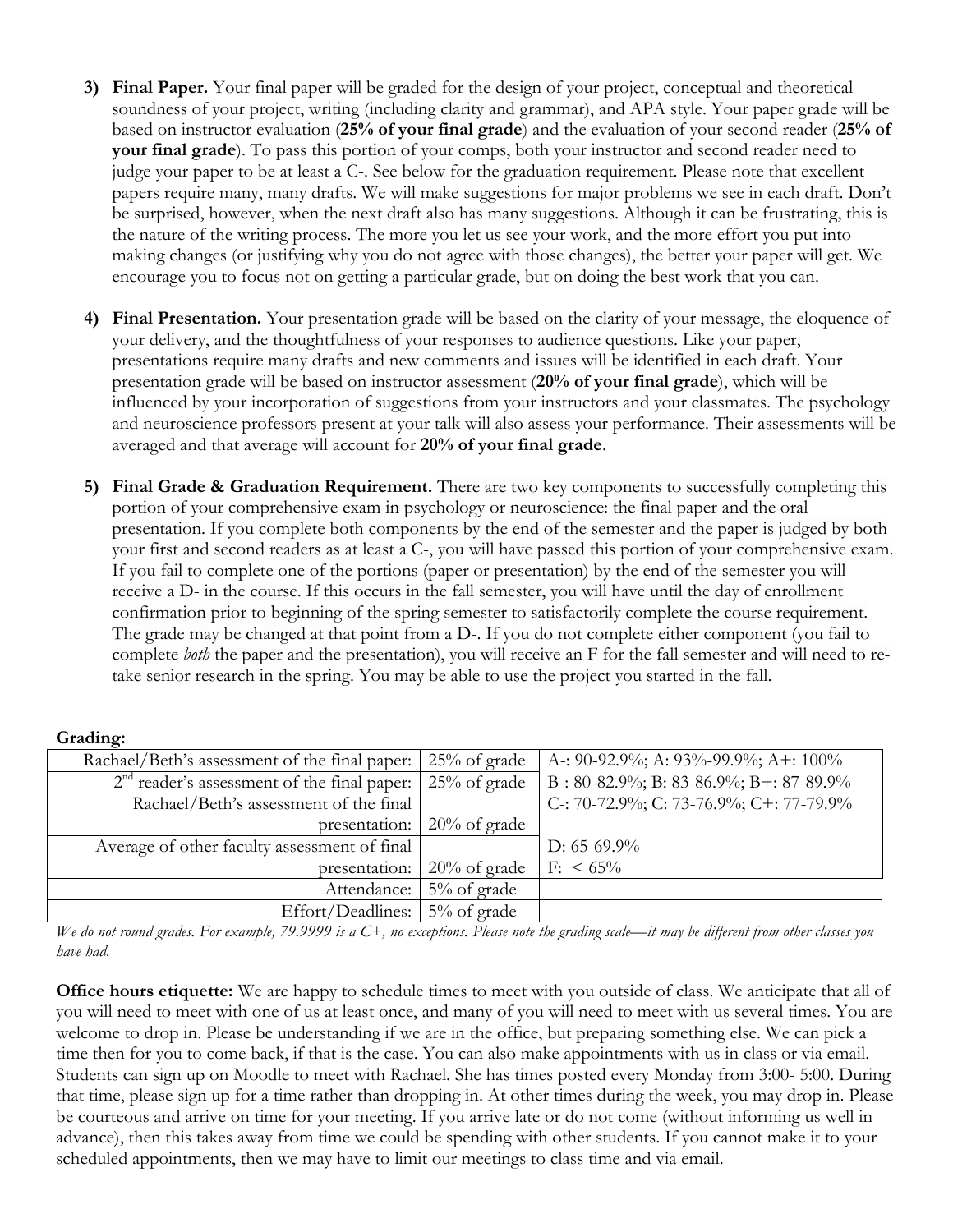- **3) Final Paper.** Your final paper will be graded for the design of your project, conceptual and theoretical soundness of your project, writing (including clarity and grammar), and APA style. Your paper grade will be based on instructor evaluation (**25% of your final grade**) and the evaluation of your second reader (**25% of your final grade**). To pass this portion of your comps, both your instructor and second reader need to judge your paper to be at least a C-. See below for the graduation requirement. Please note that excellent papers require many, many drafts. We will make suggestions for major problems we see in each draft. Don't be surprised, however, when the next draft also has many suggestions. Although it can be frustrating, this is the nature of the writing process. The more you let us see your work, and the more effort you put into making changes (or justifying why you do not agree with those changes), the better your paper will get. We encourage you to focus not on getting a particular grade, but on doing the best work that you can.
- **4) Final Presentation.** Your presentation grade will be based on the clarity of your message, the eloquence of your delivery, and the thoughtfulness of your responses to audience questions. Like your paper, presentations require many drafts and new comments and issues will be identified in each draft. Your presentation grade will be based on instructor assessment (**20% of your final grade**), which will be influenced by your incorporation of suggestions from your instructors and your classmates. The psychology and neuroscience professors present at your talk will also assess your performance. Their assessments will be averaged and that average will account for **20% of your final grade**.
- **5) Final Grade & Graduation Requirement.** There are two key components to successfully completing this portion of your comprehensive exam in psychology or neuroscience: the final paper and the oral presentation. If you complete both components by the end of the semester and the paper is judged by both your first and second readers as at least a C-, you will have passed this portion of your comprehensive exam. If you fail to complete one of the portions (paper or presentation) by the end of the semester you will receive a D- in the course. If this occurs in the fall semester, you will have until the day of enrollment confirmation prior to beginning of the spring semester to satisfactorily complete the course requirement. The grade may be changed at that point from a D-. If you do not complete either component (you fail to complete *both* the paper and the presentation), you will receive an F for the fall semester and will need to retake senior research in the spring. You may be able to use the project you started in the fall.

#### **Grading:**

| Rachael/Beth's assessment of the final paper:<br>$25\%$ of grade | A-: 90-92.9%; A: 93%-99.9%; A+: $100\%$ |
|------------------------------------------------------------------|-----------------------------------------|
| $2nd$ reader's assessment of the final paper:<br>$25\%$ of grade | B-: 80-82.9%; B: 83-86.9%; B+: 87-89.9% |
|                                                                  | C-: 70-72.9%; C: 73-76.9%; C+: 77-79.9% |
| $20\%$ of grade<br>presentation:                                 |                                         |
|                                                                  | D: $65-69.9\%$                          |
| $20\%$ of grade                                                  | $F: \ 65\%$                             |
| $5\%$ of grade                                                   |                                         |
| Effort/Deadlines:<br>$5\%$ of grade                              |                                         |
|                                                                  |                                         |

*We do not round grades. For example, 79.9999 is a C+, no exceptions. Please note the grading scale—it may be different from other classes you have had.* 

**Office hours etiquette:** We are happy to schedule times to meet with you outside of class. We anticipate that all of you will need to meet with one of us at least once, and many of you will need to meet with us several times. You are welcome to drop in. Please be understanding if we are in the office, but preparing something else. We can pick a time then for you to come back, if that is the case. You can also make appointments with us in class or via email. Students can sign up on Moodle to meet with Rachael. She has times posted every Monday from 3:00- 5:00. During that time, please sign up for a time rather than dropping in. At other times during the week, you may drop in. Please be courteous and arrive on time for your meeting. If you arrive late or do not come (without informing us well in advance), then this takes away from time we could be spending with other students. If you cannot make it to your scheduled appointments, then we may have to limit our meetings to class time and via email.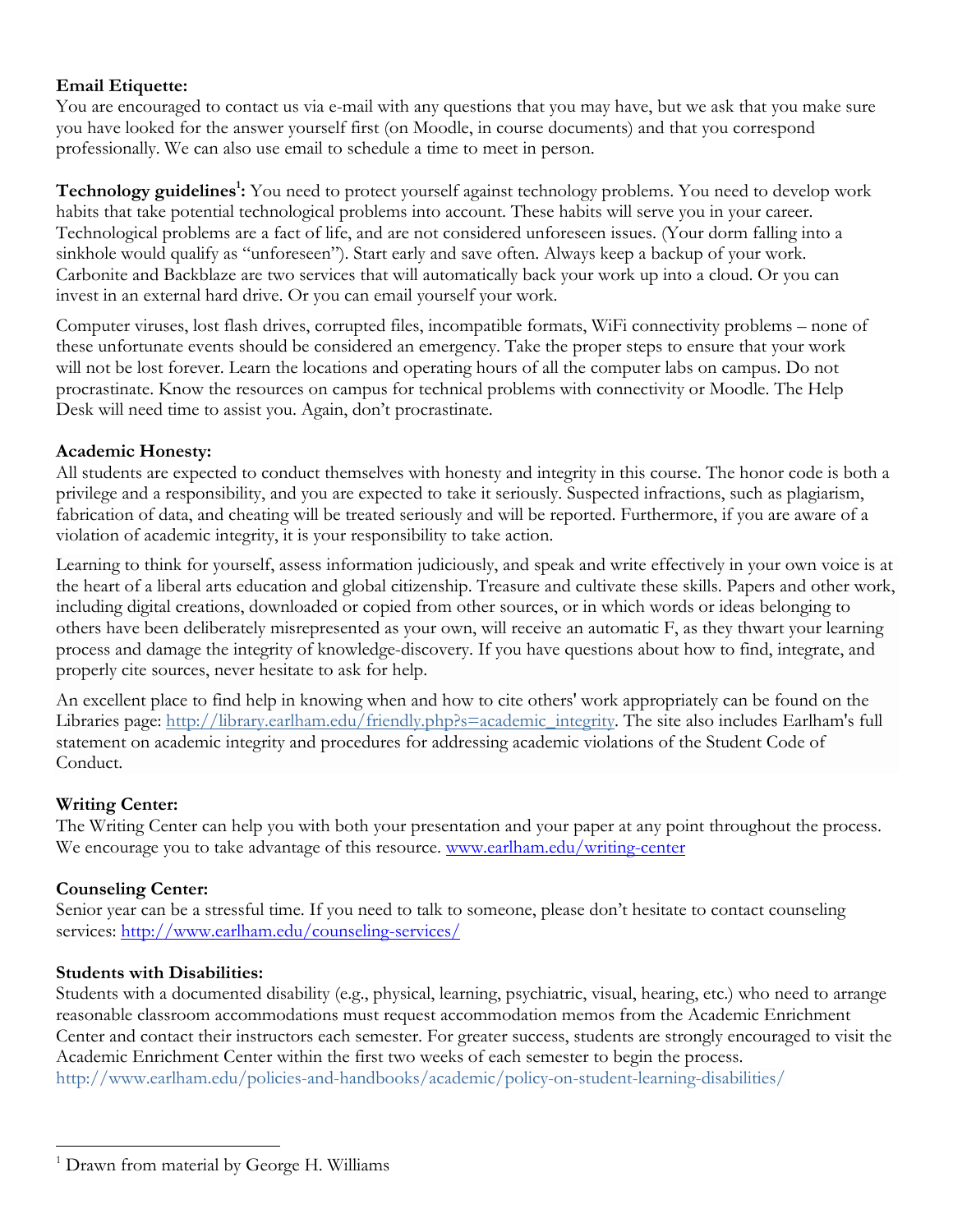## **Email Etiquette:**

You are encouraged to contact us via e-mail with any questions that you may have, but we ask that you make sure you have looked for the answer yourself first (on Moodle, in course documents) and that you correspond professionally. We can also use email to schedule a time to meet in person.

Technology guidelines<sup>1</sup>: You need to protect yourself against technology problems. You need to develop work habits that take potential technological problems into account. These habits will serve you in your career. Technological problems are a fact of life, and are not considered unforeseen issues. (Your dorm falling into a sinkhole would qualify as "unforeseen"). Start early and save often. Always keep a backup of your work. Carbonite and Backblaze are two services that will automatically back your work up into a cloud. Or you can invest in an external hard drive. Or you can email yourself your work.

Computer viruses, lost flash drives, corrupted files, incompatible formats, WiFi connectivity problems – none of these unfortunate events should be considered an emergency. Take the proper steps to ensure that your work will not be lost forever. Learn the locations and operating hours of all the computer labs on campus. Do not procrastinate. Know the resources on campus for technical problems with connectivity or Moodle. The Help Desk will need time to assist you. Again, don't procrastinate.

## **Academic Honesty:**

All students are expected to conduct themselves with honesty and integrity in this course. The honor code is both a privilege and a responsibility, and you are expected to take it seriously. Suspected infractions, such as plagiarism, fabrication of data, and cheating will be treated seriously and will be reported. Furthermore, if you are aware of a violation of academic integrity, it is your responsibility to take action.

Learning to think for yourself, assess information judiciously, and speak and write effectively in your own voice is at the heart of a liberal arts education and global citizenship. Treasure and cultivate these skills. Papers and other work, including digital creations, downloaded or copied from other sources, or in which words or ideas belonging to others have been deliberately misrepresented as your own, will receive an automatic F, as they thwart your learning process and damage the integrity of knowledge-discovery. If you have questions about how to find, integrate, and properly cite sources, never hesitate to ask for help.

An excellent place to find help in knowing when and how to cite others' work appropriately can be found on the Libraries page: http://library.earlham.edu/friendly.php?s=academic\_integrity. The site also includes Earlham's full statement on academic integrity and procedures for addressing academic violations of the Student Code of Conduct.

# **Writing Center:**

The Writing Center can help you with both your presentation and your paper at any point throughout the process. We encourage you to take advantage of this resource. www.earlham.edu/writing-center

# **Counseling Center:**

 $\overline{a}$ 

Senior year can be a stressful time. If you need to talk to someone, please don't hesitate to contact counseling services: http://www.earlham.edu/counseling-services/

### **Students with Disabilities:**

Students with a documented disability (e.g., physical, learning, psychiatric, visual, hearing, etc.) who need to arrange reasonable classroom accommodations must request accommodation memos from the Academic Enrichment Center and contact their instructors each semester. For greater success, students are strongly encouraged to visit the Academic Enrichment Center within the first two weeks of each semester to begin the process. http://www.earlham.edu/policies-and-handbooks/academic/policy-on-student-learning-disabilities/

 $1$  Drawn from material by George H. Williams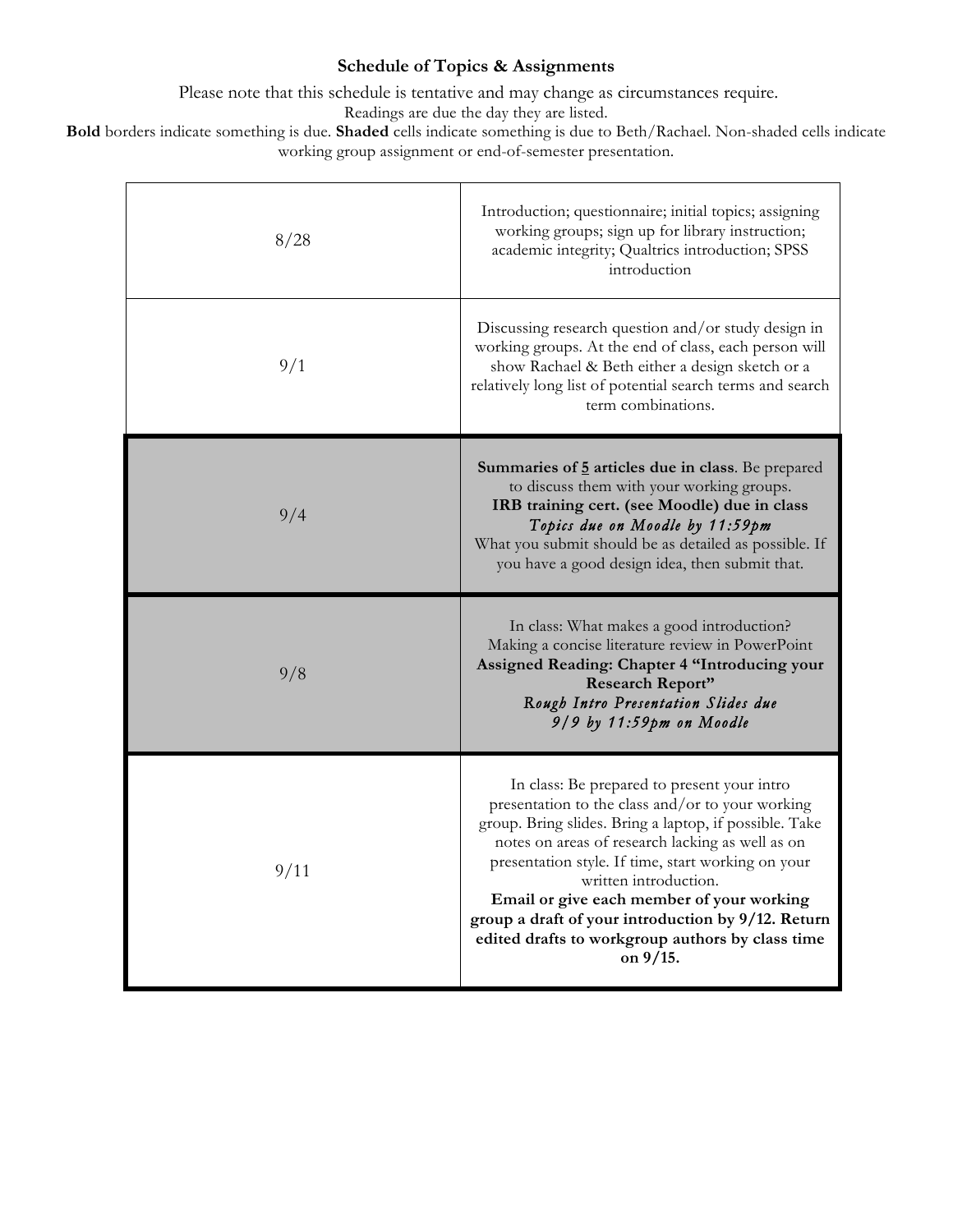## **Schedule of Topics & Assignments**

Please note that this schedule is tentative and may change as circumstances require.

Readings are due the day they are listed.

**Bold** borders indicate something is due. **Shaded** cells indicate something is due to Beth/Rachael. Non-shaded cells indicate working group assignment or end-of-semester presentation.

| 8/28 | Introduction; questionnaire; initial topics; assigning<br>working groups; sign up for library instruction;<br>academic integrity; Qualtrics introduction; SPSS<br>introduction                                                                                                                                                                                                                                                                                     |
|------|--------------------------------------------------------------------------------------------------------------------------------------------------------------------------------------------------------------------------------------------------------------------------------------------------------------------------------------------------------------------------------------------------------------------------------------------------------------------|
| 9/1  | Discussing research question and/or study design in<br>working groups. At the end of class, each person will<br>show Rachael & Beth either a design sketch or a<br>relatively long list of potential search terms and search<br>term combinations.                                                                                                                                                                                                                 |
| 9/4  | <b>Summaries of 5 articles due in class.</b> Be prepared<br>to discuss them with your working groups.<br>IRB training cert. (see Moodle) due in class<br>Topics due on Moodle by 11:59pm<br>What you submit should be as detailed as possible. If<br>you have a good design idea, then submit that.                                                                                                                                                                |
| 9/8  | In class: What makes a good introduction?<br>Making a concise literature review in PowerPoint<br>Assigned Reading: Chapter 4 "Introducing your<br><b>Research Report"</b><br>Rough Intro Presentation Slides due<br>$9/9$ by $11:59$ pm on Moodle                                                                                                                                                                                                                  |
| 9/11 | In class: Be prepared to present your intro<br>presentation to the class and/or to your working<br>group. Bring slides. Bring a laptop, if possible. Take<br>notes on areas of research lacking as well as on<br>presentation style. If time, start working on your<br>written introduction.<br>Email or give each member of your working<br>group a draft of your introduction by 9/12. Return<br>edited drafts to workgroup authors by class time<br>on $9/15$ . |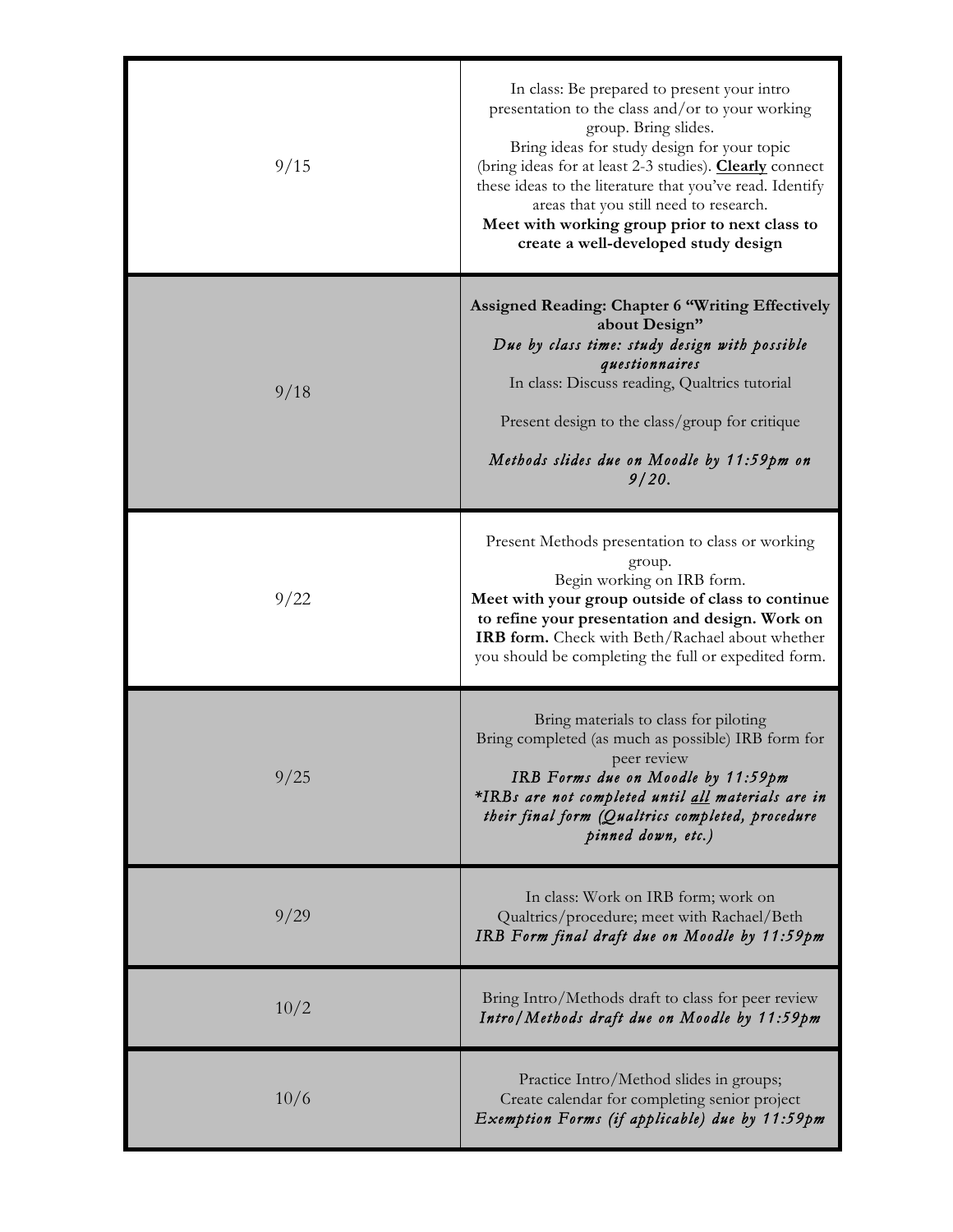| 9/15 | In class: Be prepared to present your intro<br>presentation to the class and/or to your working<br>group. Bring slides.<br>Bring ideas for study design for your topic<br>(bring ideas for at least 2-3 studies). Clearly connect<br>these ideas to the literature that you've read. Identify<br>areas that you still need to research.<br>Meet with working group prior to next class to<br>create a well-developed study design |
|------|-----------------------------------------------------------------------------------------------------------------------------------------------------------------------------------------------------------------------------------------------------------------------------------------------------------------------------------------------------------------------------------------------------------------------------------|
| 9/18 | <b>Assigned Reading: Chapter 6 "Writing Effectively</b><br>about Design"<br>Due by class time: study design with possible<br>questionnaires<br>In class: Discuss reading, Qualtrics tutorial<br>Present design to the class/group for critique<br>Methods slides due on Moodle by 11:59pm on<br>9/20.                                                                                                                             |
| 9/22 | Present Methods presentation to class or working<br>group.<br>Begin working on IRB form.<br>Meet with your group outside of class to continue<br>to refine your presentation and design. Work on<br>IRB form. Check with Beth/Rachael about whether<br>you should be completing the full or expedited form.                                                                                                                       |
| 9/25 | Bring materials to class for piloting<br>Bring completed (as much as possible) IRB form for<br>peer review<br>IRB Forms due on Moodle by 11:59pm<br>*IRBs are not completed until all materials are in<br>their final form (Qualtrics completed, procedure<br>pinned down, etc.)                                                                                                                                                  |
| 9/29 | In class: Work on IRB form; work on<br>Qualtrics/procedure; meet with Rachael/Beth<br>IRB Form final draft due on Moodle by 11:59pm                                                                                                                                                                                                                                                                                               |
| 10/2 | Bring Intro/Methods draft to class for peer review<br>Intro/Methods draft due on Moodle by 11:59pm                                                                                                                                                                                                                                                                                                                                |
| 10/6 | Practice Intro/Method slides in groups;<br>Create calendar for completing senior project<br>Exemption Forms (if applicable) due by 11:59pm                                                                                                                                                                                                                                                                                        |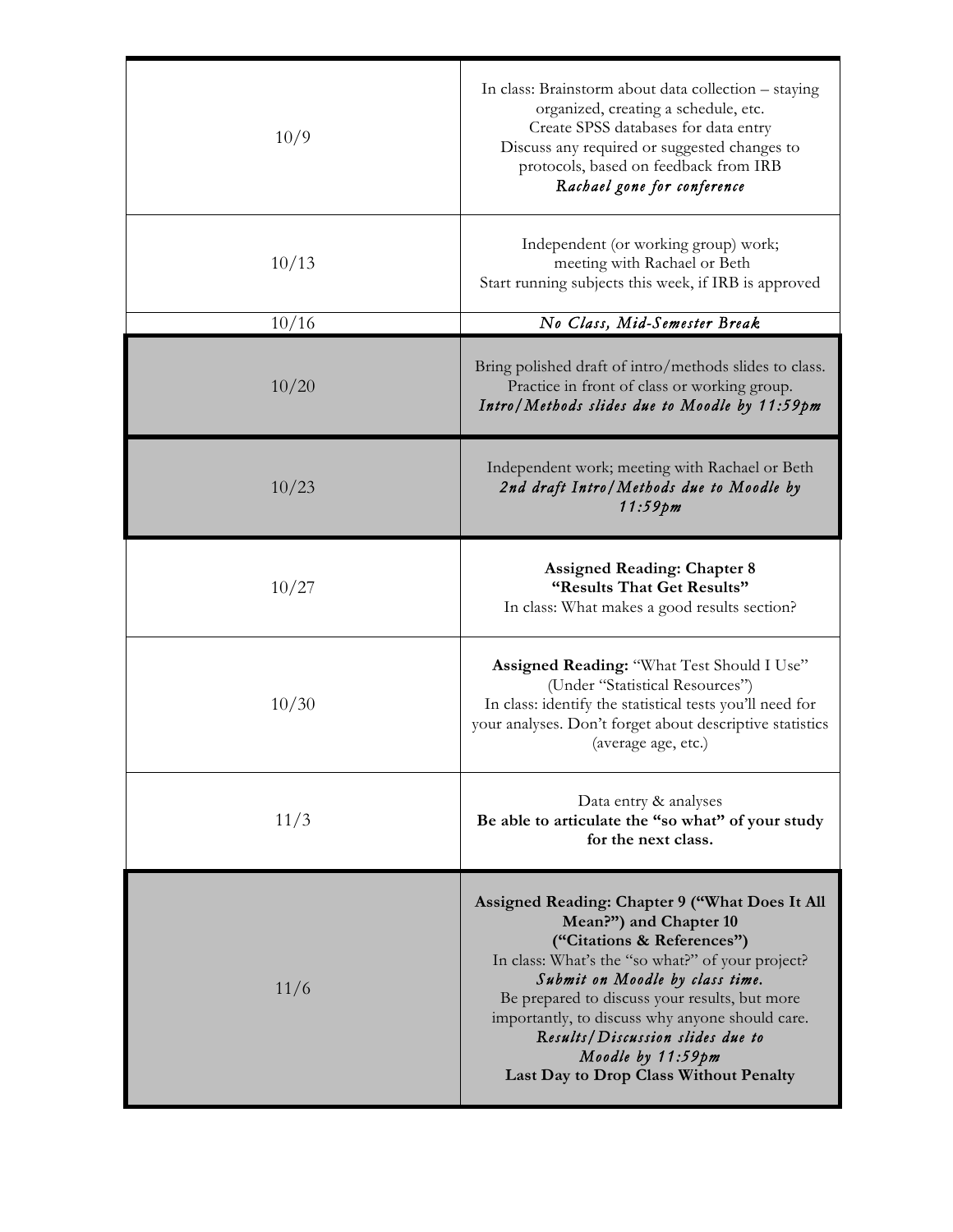| 10/9  | In class: Brainstorm about data collection – staying<br>organized, creating a schedule, etc.<br>Create SPSS databases for data entry<br>Discuss any required or suggested changes to<br>protocols, based on feedback from IRB<br>Rachael gone for conference                                                                                                                                         |
|-------|------------------------------------------------------------------------------------------------------------------------------------------------------------------------------------------------------------------------------------------------------------------------------------------------------------------------------------------------------------------------------------------------------|
| 10/13 | Independent (or working group) work;<br>meeting with Rachael or Beth<br>Start running subjects this week, if IRB is approved                                                                                                                                                                                                                                                                         |
| 10/16 | No Class, Mid-Semester Break                                                                                                                                                                                                                                                                                                                                                                         |
| 10/20 | Bring polished draft of intro/methods slides to class.<br>Practice in front of class or working group.<br>Intro/Methods slides due to Moodle by 11:59pm                                                                                                                                                                                                                                              |
| 10/23 | Independent work; meeting with Rachael or Beth<br>2nd draft Intro/Methods due to Moodle by<br>11:59pm                                                                                                                                                                                                                                                                                                |
| 10/27 | <b>Assigned Reading: Chapter 8</b><br>"Results That Get Results"<br>In class: What makes a good results section?                                                                                                                                                                                                                                                                                     |
| 10/30 | Assigned Reading: "What Test Should I Use"<br>(Under "Statistical Resources")<br>In class: identify the statistical tests you'll need for<br>your analyses. Don't forget about descriptive statistics<br>(average age, etc.)                                                                                                                                                                         |
| 11/3  | Data entry & analyses<br>Be able to articulate the "so what" of your study<br>for the next class.                                                                                                                                                                                                                                                                                                    |
| 11/6  | Assigned Reading: Chapter 9 ("What Does It All<br>Mean?") and Chapter 10<br>("Citations & References")<br>In class: What's the "so what?" of your project?<br>Submit on Moodle by class time.<br>Be prepared to discuss your results, but more<br>importantly, to discuss why anyone should care.<br>Results/Discussion slides due to<br>Moodle by 11:59pm<br>Last Day to Drop Class Without Penalty |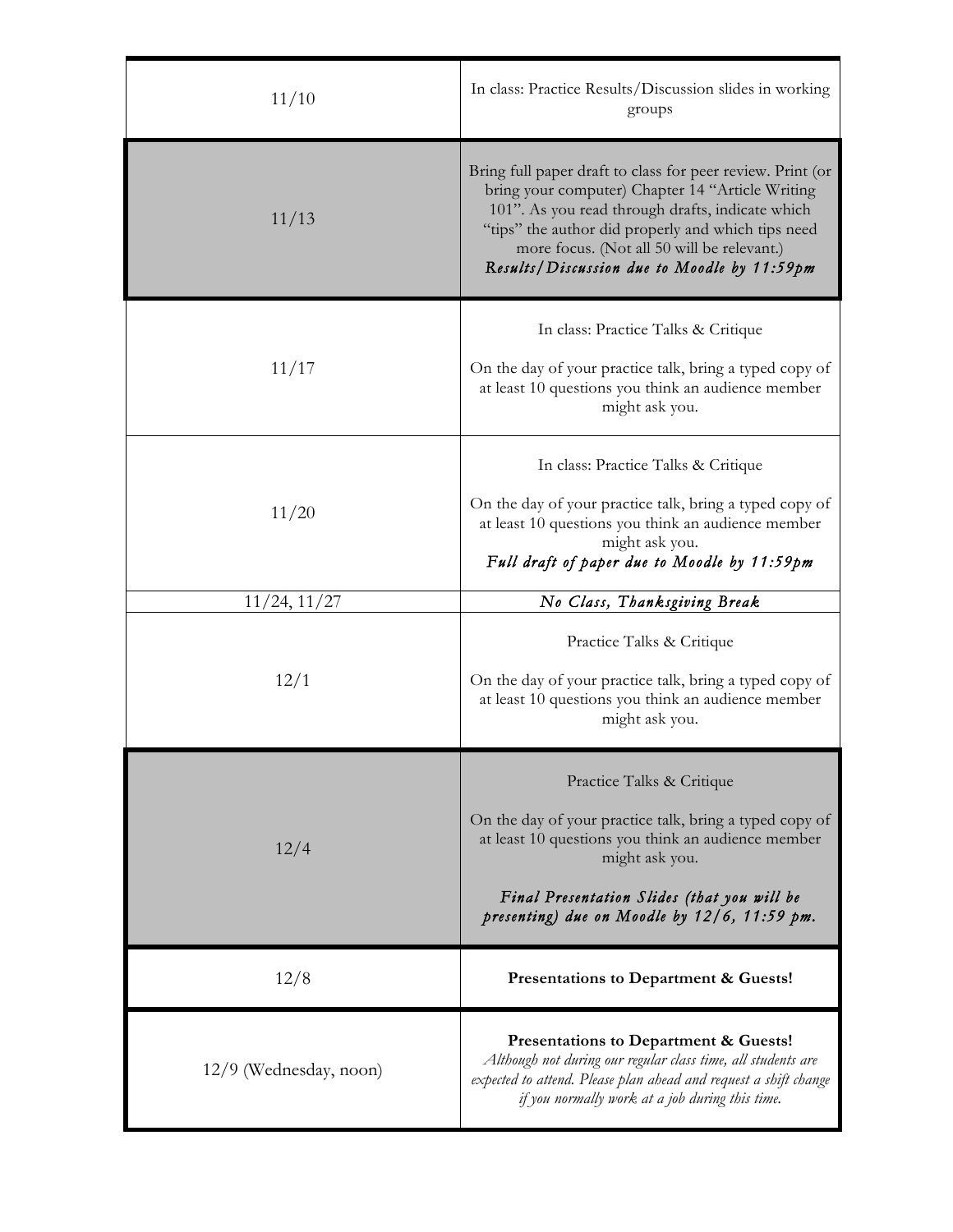| 11/10                  | In class: Practice Results/Discussion slides in working<br>groups                                                                                                                                                                                                                                                     |
|------------------------|-----------------------------------------------------------------------------------------------------------------------------------------------------------------------------------------------------------------------------------------------------------------------------------------------------------------------|
| 11/13                  | Bring full paper draft to class for peer review. Print (or<br>bring your computer) Chapter 14 "Article Writing<br>101". As you read through drafts, indicate which<br>"tips" the author did properly and which tips need<br>more focus. (Not all 50 will be relevant.)<br>Results/Discussion due to Moodle by 11:59pm |
| 11/17                  | In class: Practice Talks & Critique<br>On the day of your practice talk, bring a typed copy of<br>at least 10 questions you think an audience member<br>might ask you.                                                                                                                                                |
| 11/20                  | In class: Practice Talks & Critique<br>On the day of your practice talk, bring a typed copy of<br>at least 10 questions you think an audience member<br>might ask you.<br>Full draft of paper due to Moodle by 11:59pm                                                                                                |
| 11/24, 11/27           | No Class, Thanksgiving Break                                                                                                                                                                                                                                                                                          |
| 12/1                   | Practice Talks & Critique<br>On the day of your practice talk, bring a typed copy of<br>at least 10 questions you think an audience member<br>might ask you.                                                                                                                                                          |
| 12/4                   | Practice Talks & Critique<br>On the day of your practice talk, bring a typed copy of<br>at least 10 questions you think an audience member<br>might ask you.<br>Final Presentation Slides (that you will be<br>presenting) due on Moodle by 12/6, 11:59 pm.                                                           |
| 12/8                   | Presentations to Department & Guests!                                                                                                                                                                                                                                                                                 |
| 12/9 (Wednesday, noon) | Presentations to Department & Guests!<br>Although not during our regular class time, all students are<br>expected to attend. Please plan ahead and request a shift change<br>if you normally work at a job during this time.                                                                                          |